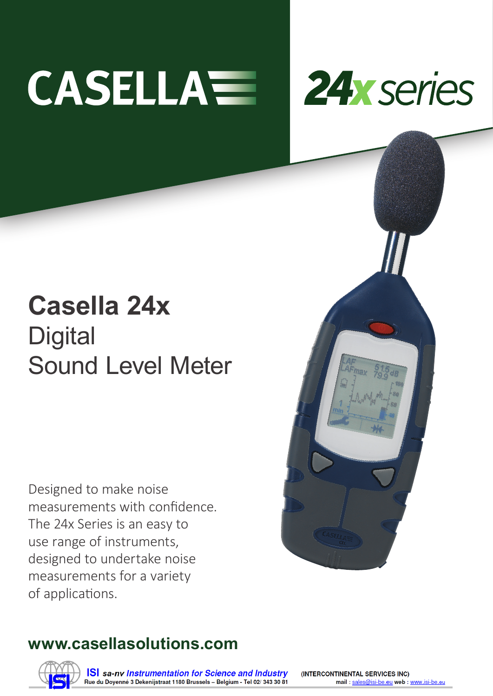# **CASELLAWE**



## **Casella 24x Digital** Sound Level Meter

Designed to make noise measurements with confidence. The 24x Series is an easy to use range of instruments, designed to undertake noise measurements for a variety of applications.

### **www.casellasolutions.com**



**ISI** sa-ny Instrumentation for Science and Industry Rue du Doyenné 3 Dekenijstraat 1180 Brussels - Belgium - Tel 02/ 343 30 81 (INTERCONTINENTAL SERVICES INC) mail: sales@isi-be.eu web: www.isi-be.eu